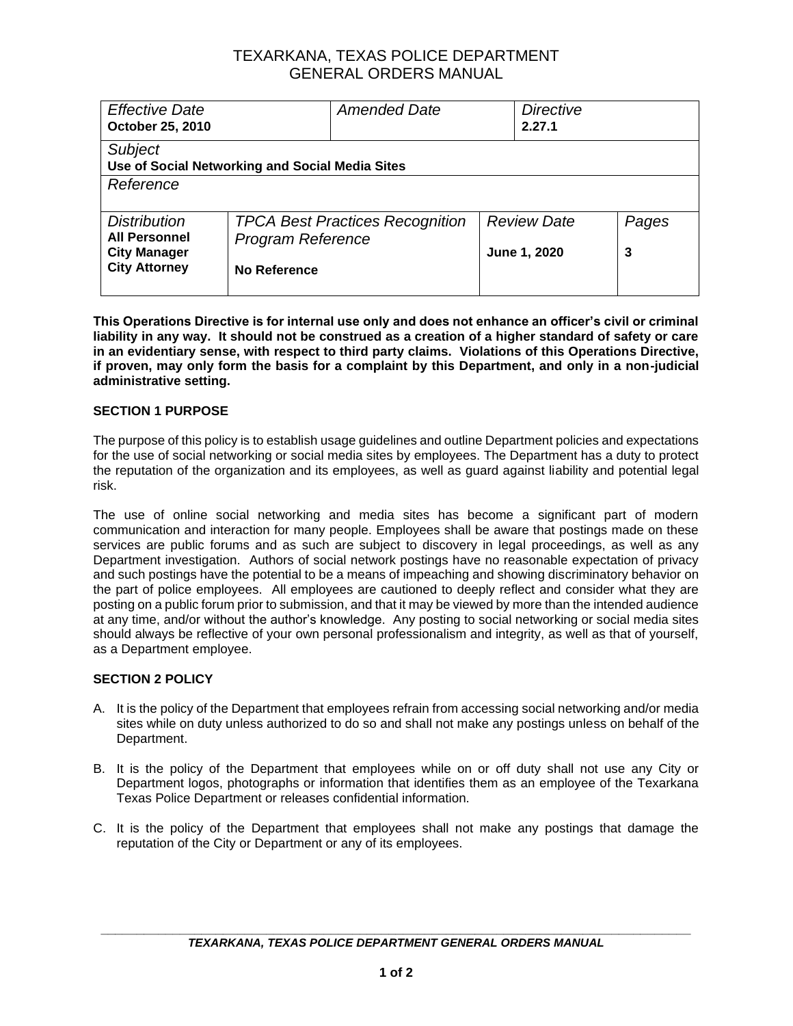### TEXARKANA, TEXAS POLICE DEPARTMENT GENERAL ORDERS MANUAL

| <b>Effective Date</b><br>October 25, 2010                                                  |                                                                                    | <b>Amended Date</b> |  | <b>Directive</b><br>2.27.1         |            |  |
|--------------------------------------------------------------------------------------------|------------------------------------------------------------------------------------|---------------------|--|------------------------------------|------------|--|
| <b>Subject</b><br>Use of Social Networking and Social Media Sites                          |                                                                                    |                     |  |                                    |            |  |
| Reference                                                                                  |                                                                                    |                     |  |                                    |            |  |
| <b>Distribution</b><br><b>All Personnel</b><br><b>City Manager</b><br><b>City Attorney</b> | <b>TPCA Best Practices Recognition</b><br><b>Program Reference</b><br>No Reference |                     |  | <b>Review Date</b><br>June 1, 2020 | Pages<br>3 |  |

**This Operations Directive is for internal use only and does not enhance an officer's civil or criminal liability in any way. It should not be construed as a creation of a higher standard of safety or care in an evidentiary sense, with respect to third party claims. Violations of this Operations Directive, if proven, may only form the basis for a complaint by this Department, and only in a non-judicial administrative setting.**

#### **SECTION 1 PURPOSE**

The purpose of this policy is to establish usage guidelines and outline Department policies and expectations for the use of social networking or social media sites by employees. The Department has a duty to protect the reputation of the organization and its employees, as well as guard against liability and potential legal risk.

The use of online social networking and media sites has become a significant part of modern communication and interaction for many people. Employees shall be aware that postings made on these services are public forums and as such are subject to discovery in legal proceedings, as well as any Department investigation. Authors of social network postings have no reasonable expectation of privacy and such postings have the potential to be a means of impeaching and showing discriminatory behavior on the part of police employees. All employees are cautioned to deeply reflect and consider what they are posting on a public forum prior to submission, and that it may be viewed by more than the intended audience at any time, and/or without the author's knowledge. Any posting to social networking or social media sites should always be reflective of your own personal professionalism and integrity, as well as that of yourself, as a Department employee.

### **SECTION 2 POLICY**

- A. It is the policy of the Department that employees refrain from accessing social networking and/or media sites while on duty unless authorized to do so and shall not make any postings unless on behalf of the Department.
- B. It is the policy of the Department that employees while on or off duty shall not use any City or Department logos, photographs or information that identifies them as an employee of the Texarkana Texas Police Department or releases confidential information.
- C. It is the policy of the Department that employees shall not make any postings that damage the reputation of the City or Department or any of its employees.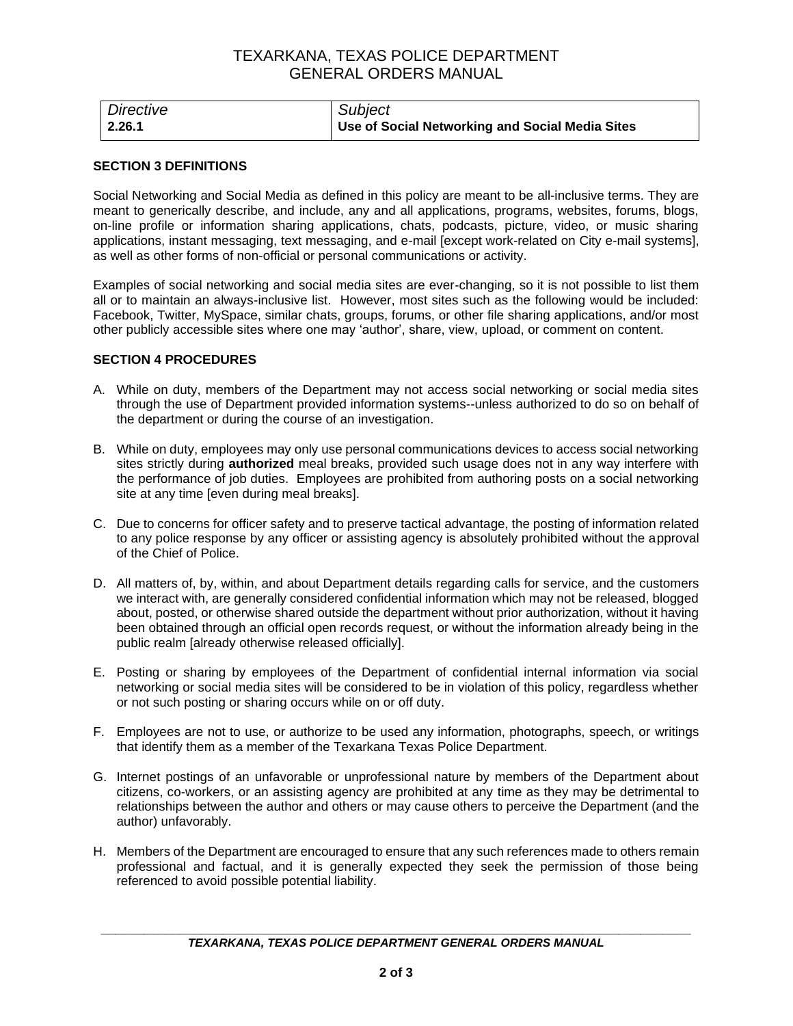## TEXARKANA, TEXAS POLICE DEPARTMENT GENERAL ORDERS MANUAL

| Directive | Subject                                         |
|-----------|-------------------------------------------------|
| 2.26.1    | Use of Social Networking and Social Media Sites |

#### **SECTION 3 DEFINITIONS**

Social Networking and Social Media as defined in this policy are meant to be all-inclusive terms. They are meant to generically describe, and include, any and all applications, programs, websites, forums, blogs, on-line profile or information sharing applications, chats, podcasts, picture, video, or music sharing applications, instant messaging, text messaging, and e-mail [except work-related on City e-mail systems], as well as other forms of non-official or personal communications or activity.

Examples of social networking and social media sites are ever-changing, so it is not possible to list them all or to maintain an always-inclusive list. However, most sites such as the following would be included: Facebook, Twitter, MySpace, similar chats, groups, forums, or other file sharing applications, and/or most other publicly accessible sites where one may 'author', share, view, upload, or comment on content.

#### **SECTION 4 PROCEDURES**

- A. While on duty, members of the Department may not access social networking or social media sites through the use of Department provided information systems--unless authorized to do so on behalf of the department or during the course of an investigation.
- B. While on duty, employees may only use personal communications devices to access social networking sites strictly during **authorized** meal breaks, provided such usage does not in any way interfere with the performance of job duties. Employees are prohibited from authoring posts on a social networking site at any time [even during meal breaks].
- C. Due to concerns for officer safety and to preserve tactical advantage, the posting of information related to any police response by any officer or assisting agency is absolutely prohibited without the approval of the Chief of Police.
- D. All matters of, by, within, and about Department details regarding calls for service, and the customers we interact with, are generally considered confidential information which may not be released, blogged about, posted, or otherwise shared outside the department without prior authorization, without it having been obtained through an official open records request, or without the information already being in the public realm [already otherwise released officially].
- E. Posting or sharing by employees of the Department of confidential internal information via social networking or social media sites will be considered to be in violation of this policy, regardless whether or not such posting or sharing occurs while on or off duty.
- F. Employees are not to use, or authorize to be used any information, photographs, speech, or writings that identify them as a member of the Texarkana Texas Police Department.
- G. Internet postings of an unfavorable or unprofessional nature by members of the Department about citizens, co-workers, or an assisting agency are prohibited at any time as they may be detrimental to relationships between the author and others or may cause others to perceive the Department (and the author) unfavorably.
- H. Members of the Department are encouraged to ensure that any such references made to others remain professional and factual, and it is generally expected they seek the permission of those being referenced to avoid possible potential liability.